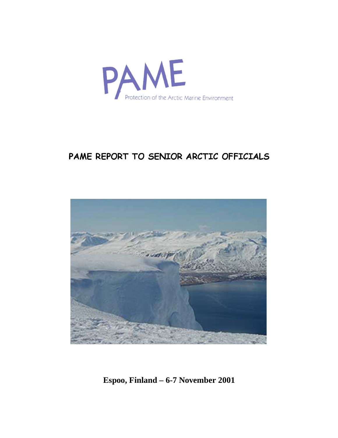

# - 
  -



**Espoo, Finland – 6-7 November 2001**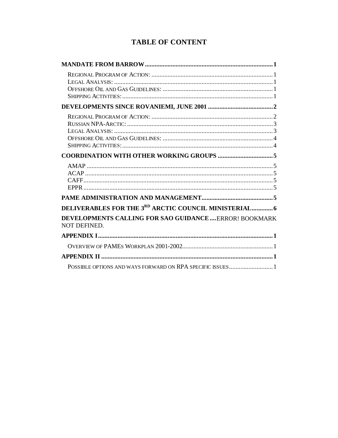# **TABLE OF CONTENT**

| DELIVERABLES FOR THE 3RD ARCTIC COUNCIL MINISTERIAL 6                |
|----------------------------------------------------------------------|
| DEVELOPMENTS CALLING FOR SAO GUIDANCEERROR! BOOKMARK<br>NOT DEFINED. |
|                                                                      |
|                                                                      |
|                                                                      |
|                                                                      |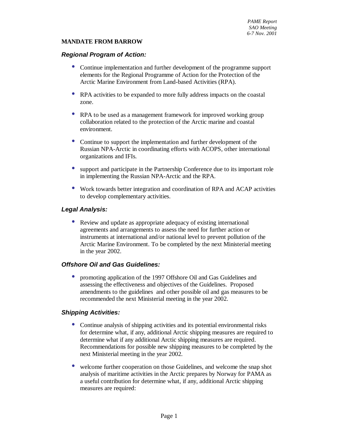#### **MANDATE FROM BARROW**

#### **Regional Program of Action:**

- Continue implementation and further development of the programme support elements for the Regional Programme of Action for the Protection of the Arctic Marine Environment from Land-based Activities (RPA).
- RPA activities to be expanded to more fully address impacts on the coastal zone.
- RPA to be used as a management framework for improved working group collaboration related to the protection of the Arctic marine and coastal environment.
- Continue to support the implementation and further development of the Russian NPA-Arctic in coordinating efforts with ACOPS, other international organizations and IFIs.
- support and participate in the Partnership Conference due to its important role in implementing the Russian NPA-Arctic and the RPA.
- Work towards better integration and coordination of RPA and ACAP activities to develop complementary activities.

#### **Legal Analysis:**

• Review and update as appropriate adequacy of existing international agreements and arrangements to assess the need for further action or instruments at international and/or national level to prevent pollution of the Arctic Marine Environment. To be completed by the next Ministerial meeting in the year 2002.

#### **Offshore Oil and Gas Guidelines:**

• promoting application of the 1997 Offshore Oil and Gas Guidelines and assessing the effectiveness and objectives of the Guidelines. Proposed amendments to the guidelines and other possible oil and gas measures to be recommended the next Ministerial meeting in the year 2002.

#### **Shipping Activities:**

- Continue analysis of shipping activities and its potential environmental risks for determine what, if any, additional Arctic shipping measures are required to determine what if any additional Arctic shipping measures are required. Recommendations for possible new shipping measures to be completed by the next Ministerial meeting in the year 2002.
- welcome further cooperation on those Guidelines, and welcome the snap shot analysis of maritime activities in the Arctic prepares by Norway for PAMA as a useful contribution for determine what, if any, additional Arctic shipping measures are required: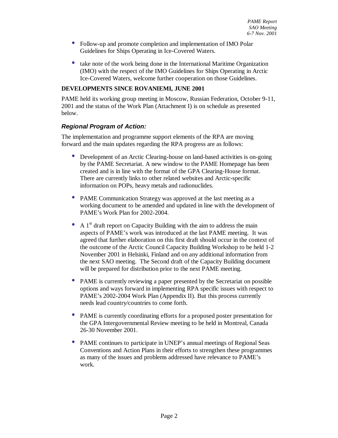- Follow-up and promote completion and implementation of IMO Polar Guidelines for Ships Operating in Ice-Covered Waters.
- take note of the work being done in the International Maritime Organization (IMO) with the respect of the IMO Guidelines for Ships Operating in Arctic Ice-Covered Waters, welcome further cooperation on those Guidelines.

#### **DEVELOPMENTS SINCE ROVANIEMI, JUNE 2001**

PAME held its working group meeting in Moscow, Russian Federation, October 9-11, 2001 and the status of the Work Plan (Attachment I) is on schedule as presented below.

#### **Regional Program of Action:**

The implementation and programme support elements of the RPA are moving forward and the main updates regarding the RPA progress are as follows:

- Development of an Arctic Clearing-house on land-based activities is on-going by the PAME Secretariat. A new window to the PAME Homepage has been created and is in line with the format of the GPA Clearing-House format. There are currently links to other related websites and Arctic-specific information on POPs, heavy metals and radionuclides.
- PAME Communication Strategy was approved at the last meeting as a working document to be amended and updated in line with the development of PAME's Work Plan for 2002-2004.
- A  $1<sup>st</sup>$  draft report on Capacity Building with the aim to address the main aspects of PAME's work was introduced at the last PAME meeting. It was agreed that further elaboration on this first draft should occur in the context of the outcome of the Arctic Council Capacity Building Workshop to be held 1-2 November 2001 in Helsinki, Finland and on any additional information from the next SAO meeting. The Second draft of the Capacity Building document will be prepared for distribution prior to the next PAME meeting.
- PAME is currently reviewing a paper presented by the Secretariat on possible options and ways forward in implementing RPA specific issues with respect to PAME's 2002-2004 Work Plan (Appendix II). But this process currently needs lead country/countries to come forth.
- PAME is currently coordinating efforts for a proposed poster presentation for the GPA Intergovernmental Review meeting to be held in Montreal, Canada 26-30 November 2001.
- PAME continues to participate in UNEP's annual meetings of Regional Seas Conventions and Action Plans in their efforts to strengthen these programmes as many of the issues and problems addressed have relevance to PAME's work.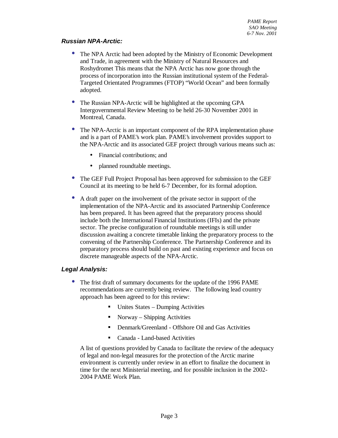#### **Russian NPA-Arctic:**

- The NPA Arctic had been adopted by the Ministry of Economic Development and Trade, in agreement with the Ministry of Natural Resources and Roshydromet This means that the NPA Arctic has now gone through the process of incorporation into the Russian institutional system of the Federal-Targeted Orientated Programmes (FTOP) "World Ocean" and been formally adopted.
- The Russian NPA-Arctic will be highlighted at the upcoming GPA Intergovernmental Review Meeting to be held 26-30 November 2001 in Montreal, Canada.
- The NPA-Arctic is an important component of the RPA implementation phase and is a part of PAME's work plan. PAME's involvement provides support to the NPA-Arctic and its associated GEF project through various means such as:
	- Financial contributions; and
	- planned roundtable meetings.
- The GEF Full Project Proposal has been approved for submission to the GEF Council at its meeting to be held 6-7 December, for its formal adoption.
- A draft paper on the involvement of the private sector in support of the implementation of the NPA-Arctic and its associated Partnership Conference has been prepared. It has been agreed that the preparatory process should include both the International Financial Institutions (IFIs) and the private sector. The precise configuration of roundtable meetings is still under discussion awaiting a concrete timetable linking the preparatory process to the convening of the Partnership Conference. The Partnership Conference and its preparatory process should build on past and existing experience and focus on discrete manageable aspects of the NPA-Arctic.

#### **Legal Analysis:**

- The frist draft of summary documents for the update of the 1996 PAME recommendations are currently being review. The following lead country approach has been agreed to for this review:
	- Unites States Dumping Activities
	- Norway Shipping Activities
	- Denmark/Greenland Offshore Oil and Gas Activities
	- Canada Land-based Activities

A list of questions provided by Canada to facilitate the review of the adequacy of legal and non-legal measures for the protection of the Arctic marine environment is currently under review in an effort to finalize the document in time for the next Ministerial meeting, and for possible inclusion in the 2002- 2004 PAME Work Plan.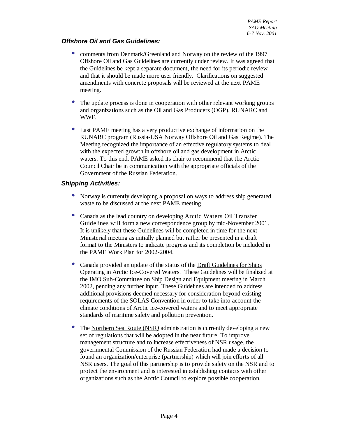#### **Offshore Oil and Gas Guidelines:**

- comments from Denmark/Greenland and Norway on the review of the 1997 Offshore Oil and Gas Guidelines are currently under review. It was agreed that the Guidelines be kept a separate document, the need for its periodic review and that it should be made more user friendly. Clarifications on suggested amendments with concrete proposals will be reviewed at the next PAME meeting.
- The update process is done in cooperation with other relevant working groups and organizations such as the Oil and Gas Producers (OGP), RUNARC and WWF.
- Last PAME meeting has a very productive exchange of information on the RUNARC program (Russia-USA Norway Offshore Oil and Gas Regime). The Meeting recognized the importance of an effective regulatory systems to deal with the expected growth in offshore oil and gas development in Arctic waters. To this end, PAME asked its chair to recommend that the Arctic Council Chair be in communication with the appropriate officials of the Government of the Russian Federation.

#### **Shipping Activities:**

- Norway is currently developing a proposal on ways to address ship generated waste to be discussed at the next PAME meeting.
- Canada as the lead country on developing Arctic Waters Oil Transfer Guidelines will form a new correspondence group by mid-November 2001. It is unlikely that these Guidelines will be completed in time for the next Ministerial meeting as initially planned but rather be presented in a draft format to the Ministers to indicate progress and its completion be included in the PAME Work Plan for 2002-2004.
- Canada provided an update of the status of the Draft Guidelines for Ships Operating in Arctic Ice-Covered Waters. These Guidelines will be finalized at the IMO Sub-Committee on Ship Design and Equipment meeting in March 2002, pending any further input. These Guidelines are intended to address additional provisions deemed necessary for consideration beyond existing requirements of the SOLAS Convention in order to take into account the climate conditions of Arctic ice-covered waters and to meet appropriate standards of maritime safety and pollution prevention.
- The Northern Sea Route (NSR) administration is currently developing a new set of regulations that will be adopted in the near future. To improve management structure and to increase effectiveness of NSR usage, the governmental Commission of the Russian Federation had made a decision to found an organization/enterprise (partnership) which will join efforts of all NSR users. The goal of this partnership is to provide safety on the NSR and to protect the environment and is interested in establishing contacts with other organizations such as the Arctic Council to explore possible cooperation.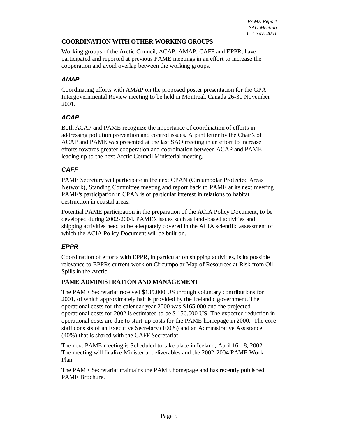#### **COORDINATION WITH OTHER WORKING GROUPS**

Working groups of the Arctic Council, ACAP, AMAP, CAFF and EPPR, have participated and reported at previous PAME meetings in an effort to increase the cooperation and avoid overlap between the working groups.

#### **AMAP**

Coordinating efforts with AMAP on the proposed poster presentation for the GPA Intergovernmental Review meeting to be held in Montreal, Canada 26-30 November 2001.

#### **ACAP**

Both ACAP and PAME recognize the importance of coordination of efforts in addressing pollution prevention and control issues. A joint letter by the Chair's of ACAP and PAME was presented at the last SAO meeting in an effort to increase efforts towards greater cooperation and coordination between ACAP and PAME leading up to the next Arctic Council Ministerial meeting.

#### **CAFF**

PAME Secretary will participate in the next CPAN (Circumpolar Protected Areas Network), Standing Committee meeting and report back to PAME at its next meeting PAME's participation in CPAN is of particular interest in relations to habitat destruction in coastal areas.

Potential PAME participation in the preparation of the ACIA Policy Document, to be developed during 2002-2004. PAME's issues such as land -based activities and shipping activities need to be adequately covered in the ACIA scientific assessment of which the ACIA Policy Document will be built on.

#### **EPPR**

Coordination of efforts with EPPR, in particular on shipping activities, is its possible relevance to EPPRs current work on Circumpolar Map of Resources at Risk from Oil Spills in the Arctic.

#### **PAME ADMINISTRATION AND MANAGEMENT**

The PAME Secretariat received \$135.000 US through voluntary contributions for 2001, of which approximately half is provided by the Icelandic government. The operational costs for the calendar year 2000 was \$165.000 and the projected operational costs for 2002 is estimated to be \$ 156.000 US. The expected reduction in operational costs are due to start-up costs for the PAME homepage in 2000. The core staff consists of an Executive Secretary (100%) and an Administrative Assistance (40%) that is shared with the CAFF Secretariat.

The next PAME meeting is Scheduled to take place in Iceland, April 16-18, 2002. The meeting will finalize Ministerial deliverables and the 2002-2004 PAME Work Plan.

The PAME Secretariat maintains the PAME homepage and has recently published PAME Brochure.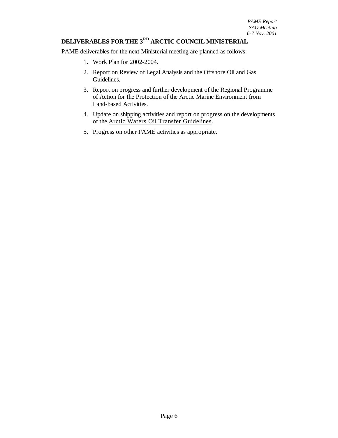#### **DELIVERABLES FOR THE 3 RD ARCTIC COUNCIL MINISTERIAL**

PAME deliverables for the next Ministerial meeting are planned as follows:

- 1. Work Plan for 2002-2004.
- 2. Report on Review of Legal Analysis and the Offshore Oil and Gas Guidelines.
- 3. Report on progress and further development of the Regional Programme of Action for the Protection of the Arctic Marine Environment from Land-based Activities.
- 4. Update on shipping activities and report on progress on the developments of the Arctic Waters Oil Transfer Guidelines.
- 5. Progress on other PAME activities as appropriate.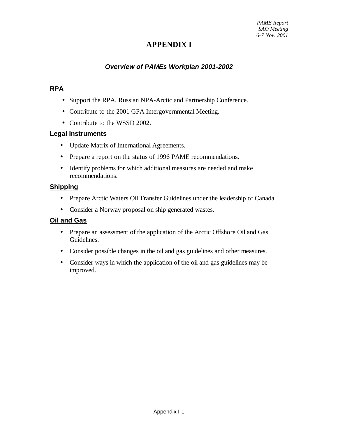# **APPENDIX I**

# **Overview of PAMEs Workplan 2001-2002**

# **RPA**

- Support the RPA, Russian NPA-Arctic and Partnership Conference.
- Contribute to the 2001 GPA Intergovernmental Meeting.
- Contribute to the WSSD 2002.

#### **Legal Instruments**

- Update Matrix of International Agreements.
- Prepare a report on the status of 1996 PAME recommendations.
- Identify problems for which additional measures are needed and make recommendations.

# **Shipping**

- Prepare Arctic Waters Oil Transfer Guidelines under the leadership of Canada.
- Consider a Norway proposal on ship generated wastes.

### **Oil and Gas**

- Prepare an assessment of the application of the Arctic Offshore Oil and Gas Guidelines.
- Consider possible changes in the oil and gas guidelines and other measures.
- Consider ways in which the application of the oil and gas guidelines may be improved.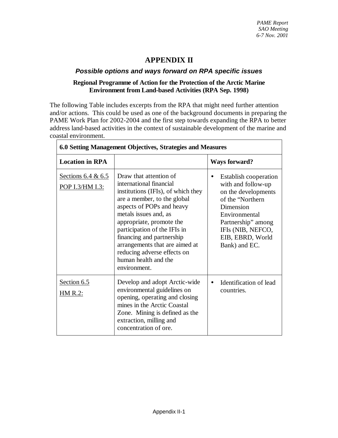# **APPENDIX II**

# **Possible options and ways forward on RPA specific issues**

# **Regional Programme of Action for the Protection of the Arctic Marine Environment from Land-based Activities (RPA Sep. 1998)**

The following Table includes excerpts from the RPA that might need further attention and/or actions. This could be used as one of the background documents in preparing the PAME Work Plan for 2002-2004 and the first step towards expanding the RPA to better address land-based activities in the context of sustainable development of the marine and coastal environment.

| 6.0 Setting Management Objectives, Strategies and Measures |                                                                                                                                                                                                                                                                                                                                                                                |                                                                                                                                                                                                              |  |  |  |  |
|------------------------------------------------------------|--------------------------------------------------------------------------------------------------------------------------------------------------------------------------------------------------------------------------------------------------------------------------------------------------------------------------------------------------------------------------------|--------------------------------------------------------------------------------------------------------------------------------------------------------------------------------------------------------------|--|--|--|--|
| <b>Location in RPA</b>                                     |                                                                                                                                                                                                                                                                                                                                                                                | <b>Ways forward?</b>                                                                                                                                                                                         |  |  |  |  |
| Sections $6.4 & 6.5$<br>POP I.3/HM I.3:                    | Draw that attention of<br>international financial<br>institutions (IFIs), of which they<br>are a member, to the global<br>aspects of POPs and heavy<br>metals issues and, as<br>appropriate, promote the<br>participation of the IFIs in<br>financing and partnership<br>arrangements that are aimed at<br>reducing adverse effects on<br>human health and the<br>environment. | <b>Establish cooperation</b><br>with and follow-up<br>on the developments<br>of the "Northern"<br>Dimension<br>Environmental<br>Partnership" among<br>IFIs (NIB, NEFCO,<br>EIB, EBRD, World<br>Bank) and EC. |  |  |  |  |
| Section 6.5<br>HM R.2:                                     | Develop and adopt Arctic-wide<br>environmental guidelines on<br>opening, operating and closing<br>mines in the Arctic Coastal<br>Zone. Mining is defined as the<br>extraction, milling and<br>concentration of ore.                                                                                                                                                            | Identification of lead<br>$\bullet$<br>countries.                                                                                                                                                            |  |  |  |  |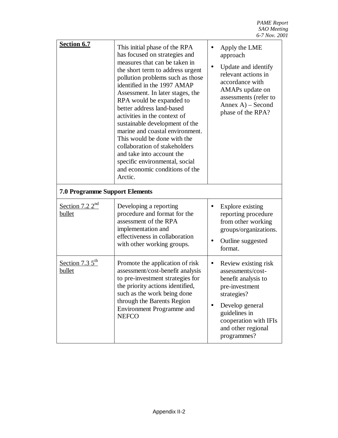*PAME Report SAO Meeting 6-7 Nov. 2001*

| Section 6.7                           | This initial phase of the RPA<br>has focused on strategies and<br>measures that can be taken in<br>the short term to address urgent<br>pollution problems such as those<br>identified in the 1997 AMAP<br>Assessment. In later stages, the<br>RPA would be expanded to<br>better address land-based<br>activities in the context of<br>sustainable development of the<br>marine and coastal environment.<br>This would be done with the<br>collaboration of stakeholders<br>and take into account the<br>specific environmental, social<br>and economic conditions of the<br>Arctic. | $\bullet$ | Apply the LME<br>approach<br>Update and identify<br>relevant actions in<br>accordance with<br>AMAPs update on<br>assessments (refer to<br>$Annex A) - Second$<br>phase of the RPA?                  |
|---------------------------------------|--------------------------------------------------------------------------------------------------------------------------------------------------------------------------------------------------------------------------------------------------------------------------------------------------------------------------------------------------------------------------------------------------------------------------------------------------------------------------------------------------------------------------------------------------------------------------------------|-----------|-----------------------------------------------------------------------------------------------------------------------------------------------------------------------------------------------------|
| <b>7.0 Programme Support Elements</b> |                                                                                                                                                                                                                                                                                                                                                                                                                                                                                                                                                                                      |           |                                                                                                                                                                                                     |
| Section 7.2 $2^{\text{nd}}$<br>bullet | Developing a reporting<br>procedure and format for the<br>assessment of the RPA<br>implementation and<br>effectiveness in collaboration<br>with other working groups.                                                                                                                                                                                                                                                                                                                                                                                                                |           | Explore existing<br>reporting procedure<br>from other working<br>groups/organizations.<br>Outline suggested<br>format.                                                                              |
| Section 7.3 $5^{\text{th}}$<br>bullet | Promote the application of risk<br>assessment/cost-benefit analysis<br>to pre-investment strategies for<br>the priority actions identified,<br>such as the work being done<br>through the Barents Region<br>Environment Programme and<br><b>NEFCO</b>                                                                                                                                                                                                                                                                                                                                | $\bullet$ | Review existing risk<br>assessments/cost-<br>benefit analysis to<br>pre-investment<br>strategies?<br>Develop general<br>guidelines in<br>cooperation with IFIs<br>and other regional<br>programmes? |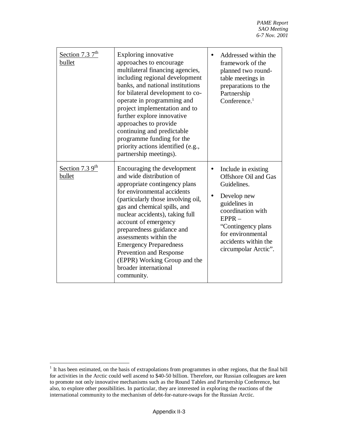| Section 7.3 $7^{\text{th}}$<br>bullet | Exploring innovative<br>approaches to encourage<br>multilateral financing agencies,<br>including regional development<br>banks, and national institutions<br>for bilateral development to co-<br>operate in programming and<br>project implementation and to<br>further explore innovative<br>approaches to provide<br>continuing and predictable<br>programme funding for the<br>priority actions identified (e.g.,<br>partnership meetings).     | Addressed within the<br>framework of the<br>planned two round-<br>table meetings in<br>preparations to the<br>Partnership<br>Conference. $1$                                                                                               |
|---------------------------------------|----------------------------------------------------------------------------------------------------------------------------------------------------------------------------------------------------------------------------------------------------------------------------------------------------------------------------------------------------------------------------------------------------------------------------------------------------|--------------------------------------------------------------------------------------------------------------------------------------------------------------------------------------------------------------------------------------------|
| Section 7.3 $9th$<br>bullet           | Encouraging the development<br>and wide distribution of<br>appropriate contingency plans<br>for environmental accidents<br>(particularly those involving oil,<br>gas and chemical spills, and<br>nuclear accidents), taking full<br>account of emergency<br>preparedness guidance and<br>assessments within the<br><b>Emergency Preparedness</b><br>Prevention and Response<br>(EPPR) Working Group and the<br>broader international<br>community. | Include in existing<br><b>Offshore Oil and Gas</b><br>Guidelines.<br>Develop new<br>$\bullet$<br>guidelines in<br>coordination with<br>$EPPR -$<br>"Contingency plans<br>for environmental<br>accidents within the<br>circumpolar Arctic". |

 1 It has been estimated, on the basis of extrapolations from programmes in other regions, that the final bill for activities in the Arctic could well ascend to \$40-50 billion. Therefore, our Russian colleagues are keen to promote not only innovative mechanisms such as the Round Tables and Partnership Conference, but also, to explore other possibilities. In particular, they are interested in exploring the reactions of the international community to the mechanism of debt-for-nature-swaps for the Russian Arctic.